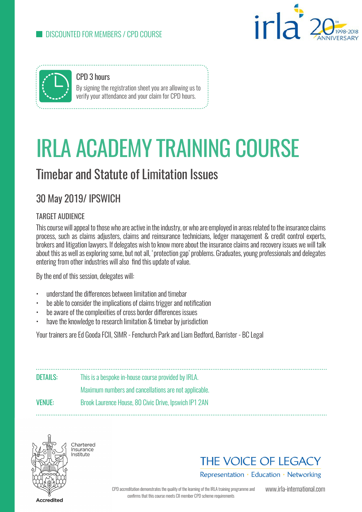



CPD 3 hours By signing the registration sheet you are allowing us to verify your attendance and your claim for CPD hours.

# IRLA ACADEMY TRAINING COURSE

## Timebar and Statute of Limitation Issues

### 30 May 2019/ IPSWICH

#### TARGET AUDIENCE

This course will appeal to those who are active in the industry, or who are employed in areas related to the insurance claims process, such as claims adjusters, claims and reinsurance technicians, ledger management & credit control experts, brokers and litigation lawyers. If delegates wish to know more about the insurance claims and recovery issues we will talk about this as well as exploring some, but not all, 'protection gap' problems. Graduates, young professionals and delegates entering from other industries will also find this update of value.

By the end of this session, delegates will:

- understand the differences between limitation and timebar
- be able to consider the implications of claims trigger and notification
- be aware of the complexities of cross border differences issues
- have the knowledge to research limitation & timebar by jurisdiction

Your trainers are Ed Gooda FCII, SIMR - Fenchurch Park and Liam Bedford, Barrister - BC Legal

DETAILS: This is a bespoke in-house course provided by IRLA. Maximum numbers and cancellations are not applicable. VENUE: Brook Laurence House, 80 Civic Drive, Ipswich IP1 2AN



Chartorod **Undicate** Institute



Representation · Education · Networking

CPD accreditation demonstrates the quality of the learning of the IRLA training programme and confirms that this course meets CII member CPD scheme requirements

www.irla-international.com